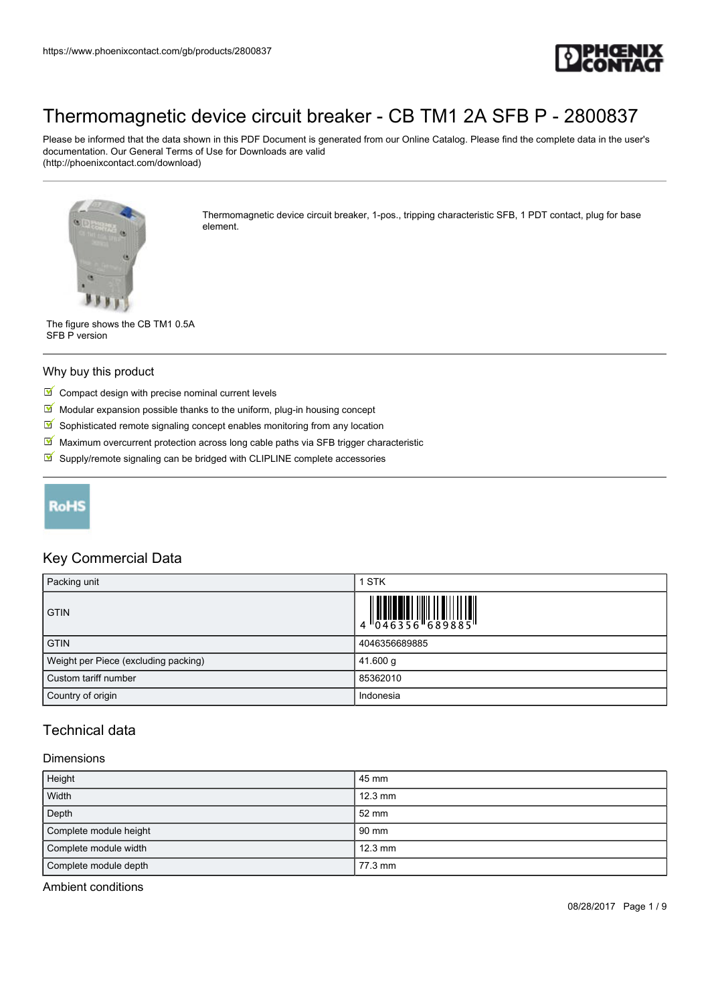

Please be informed that the data shown in this PDF Document is generated from our Online Catalog. Please find the complete data in the user's documentation. Our General Terms of Use for Downloads are valid (http://phoenixcontact.com/download)



Thermomagnetic device circuit breaker, 1-pos., tripping characteristic SFB, 1 PDT contact, plug for base element.

The figure shows the CB TM1 0.5A SFB P version

#### Why buy this product

- $\blacksquare$  Compact design with precise nominal current levels
- $\blacksquare$  Modular expansion possible thanks to the uniform, plug-in housing concept
- $\blacksquare$  Sophisticated remote signaling concept enables monitoring from any location
- $M$  Maximum overcurrent protection across long cable paths via SFB trigger characteristic
- $\blacksquare$  Supply/remote signaling can be bridged with CLIPLINE complete accessories



## Key Commercial Data

| Packing unit                         | 1 STK         |
|--------------------------------------|---------------|
| <b>GTIN</b>                          |               |
| <b>GTIN</b>                          | 4046356689885 |
| Weight per Piece (excluding packing) | 41.600 g      |
| Custom tariff number                 | 85362010      |
| Country of origin                    | Indonesia     |

## Technical data

#### **Dimensions**

| Height                 | 45 mm             |
|------------------------|-------------------|
| Width                  | $12.3 \text{ mm}$ |
| Depth                  | 52 mm             |
| Complete module height | 90 mm             |
| Complete module width  | $12.3 \text{ mm}$ |
| Complete module depth  | 77.3 mm           |

Ambient conditions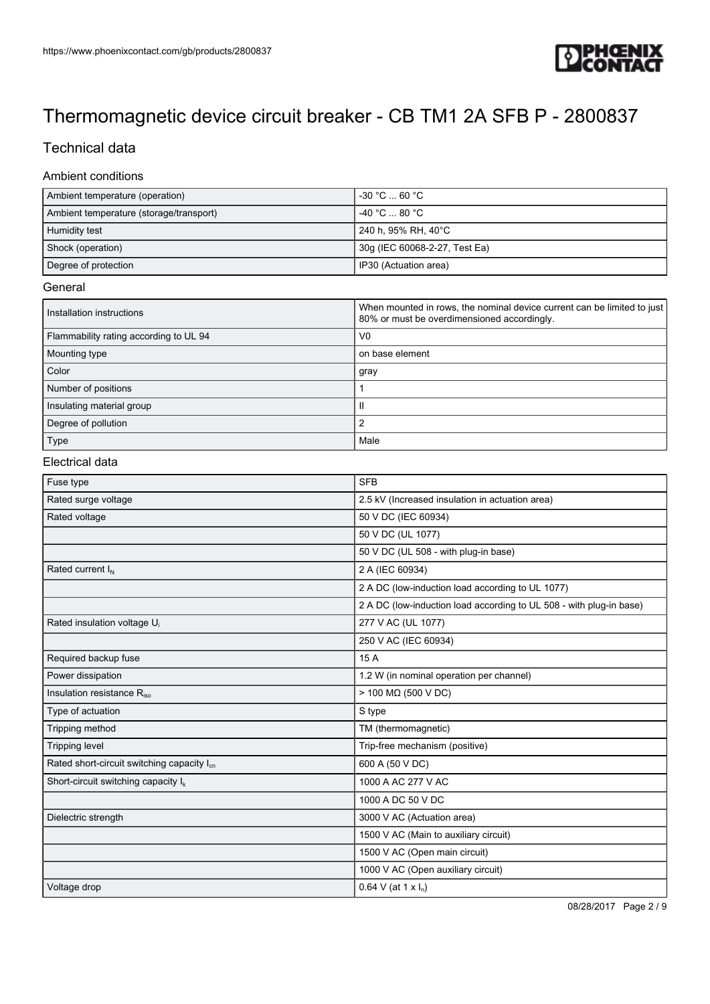

# Technical data

### Ambient conditions

| Ambient temperature (operation)         | $-30\,\degree \text{C}$ 60 $\degree \text{C}$ |
|-----------------------------------------|-----------------------------------------------|
| Ambient temperature (storage/transport) | −40 °C  80 °C                                 |
| Humidity test                           | 240 h, 95% RH, 40°C                           |
| Shock (operation)                       | 30g (IEC 60068-2-27, Test Ea)                 |
| Degree of protection                    | IP30 (Actuation area)                         |

#### **General**

| Installation instructions              | When mounted in rows, the nominal device current can be limited to just<br>80% or must be overdimensioned accordingly. |
|----------------------------------------|------------------------------------------------------------------------------------------------------------------------|
| Flammability rating according to UL 94 | V <sub>0</sub>                                                                                                         |
| Mounting type                          | on base element                                                                                                        |
| Color                                  | gray                                                                                                                   |
| Number of positions                    |                                                                                                                        |
| Insulating material group              | Ш                                                                                                                      |
| Degree of pollution                    |                                                                                                                        |
| Type                                   | Male                                                                                                                   |

#### Electrical data

| Fuse type                                              | <b>SFB</b>                                                          |
|--------------------------------------------------------|---------------------------------------------------------------------|
| Rated surge voltage                                    | 2.5 kV (Increased insulation in actuation area)                     |
| Rated voltage                                          | 50 V DC (IEC 60934)                                                 |
|                                                        | 50 V DC (UL 1077)                                                   |
|                                                        | 50 V DC (UL 508 - with plug-in base)                                |
| Rated current I <sub>N</sub>                           | 2 A (IEC 60934)                                                     |
|                                                        | 2 A DC (low-induction load according to UL 1077)                    |
|                                                        | 2 A DC (low-induction load according to UL 508 - with plug-in base) |
| Rated insulation voltage U <sub>i</sub>                | 277 V AC (UL 1077)                                                  |
|                                                        | 250 V AC (IEC 60934)                                                |
| Required backup fuse                                   | 15 A                                                                |
| Power dissipation                                      | 1.2 W (in nominal operation per channel)                            |
| Insulation resistance Riso                             | $> 100$ M $\Omega$ (500 V DC)                                       |
| Type of actuation                                      | S type                                                              |
| Tripping method                                        | TM (thermomagnetic)                                                 |
| <b>Tripping level</b>                                  | Trip-free mechanism (positive)                                      |
| Rated short-circuit switching capacity I <sub>cn</sub> | 600 A (50 V DC)                                                     |
| Short-circuit switching capacity $I_k$                 | 1000 A AC 277 V AC                                                  |
|                                                        | 1000 A DC 50 V DC                                                   |
| Dielectric strength                                    | 3000 V AC (Actuation area)                                          |
|                                                        | 1500 V AC (Main to auxiliary circuit)                               |
|                                                        | 1500 V AC (Open main circuit)                                       |
|                                                        | 1000 V AC (Open auxiliary circuit)                                  |
| Voltage drop                                           | 0.64 V (at 1 x $I_n$ )                                              |

08/28/2017 Page 2 / 9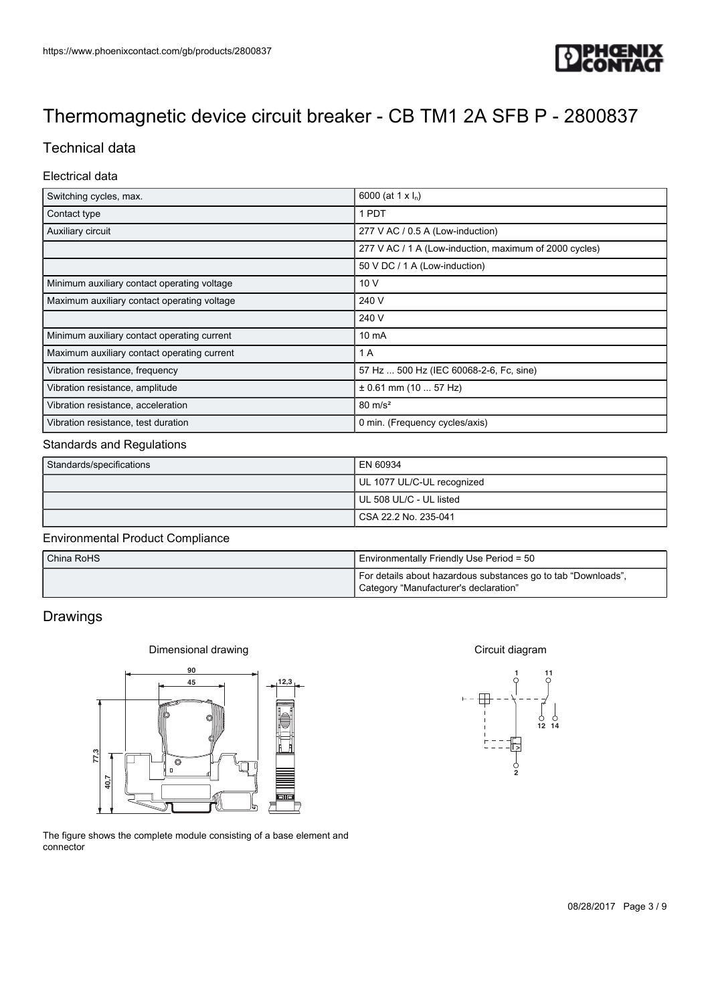

# Technical data

### Electrical data

| Switching cycles, max.                      | 6000 (at 1 x $I_n$ )                                   |
|---------------------------------------------|--------------------------------------------------------|
| Contact type                                | 1 PDT                                                  |
| Auxiliary circuit                           | 277 V AC / 0.5 A (Low-induction)                       |
|                                             | 277 V AC / 1 A (Low-induction, maximum of 2000 cycles) |
|                                             | 50 V DC / 1 A (Low-induction)                          |
| Minimum auxiliary contact operating voltage | 10 V                                                   |
| Maximum auxiliary contact operating voltage | 240 V                                                  |
|                                             | 240 V                                                  |
| Minimum auxiliary contact operating current | $10 \text{ mA}$                                        |
| Maximum auxiliary contact operating current | 1 A                                                    |
| Vibration resistance, frequency             | 57 Hz  500 Hz (IEC 60068-2-6, Fc, sine)                |
| Vibration resistance, amplitude             | $\pm$ 0.61 mm (10  57 Hz)                              |
| Vibration resistance, acceleration          | $80 \text{ m/s}^2$                                     |
| Vibration resistance, test duration         | 0 min. (Frequency cycles/axis)                         |

#### Standards and Regulations

| Standards/specifications | EN 60934                   |
|--------------------------|----------------------------|
|                          | UL 1077 UL/C-UL recognized |
|                          | UL 508 UL/C - UL listed    |
|                          | l CSA 22.2 No. 235-041     |

#### Environmental Product Compliance

| China RoHS | Environmentally Friendly Use Period = 50                                                               |
|------------|--------------------------------------------------------------------------------------------------------|
|            | For details about hazardous substances go to tab "Downloads",<br>Category "Manufacturer's declaration" |

### Drawings





The figure shows the complete module consisting of a base element and connector

Circuit diagram

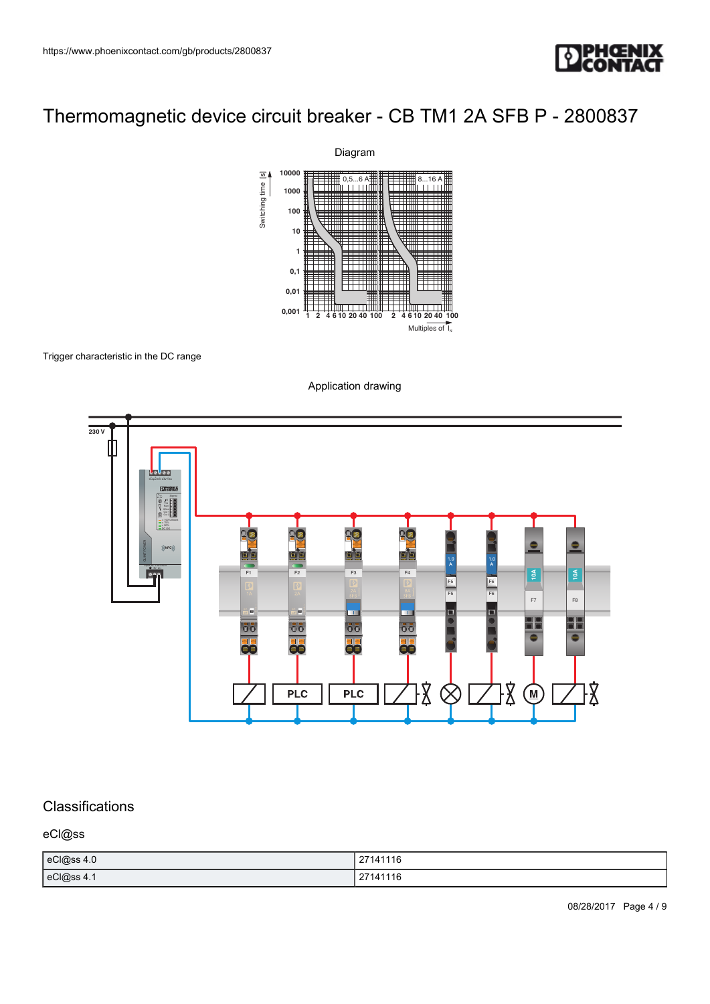



#### Trigger characteristic in the DC range





## Classifications

eCl@ss

| eCl@ss 4.0 | 27141116 |
|------------|----------|
| eCl@ss 4.1 | 27141116 |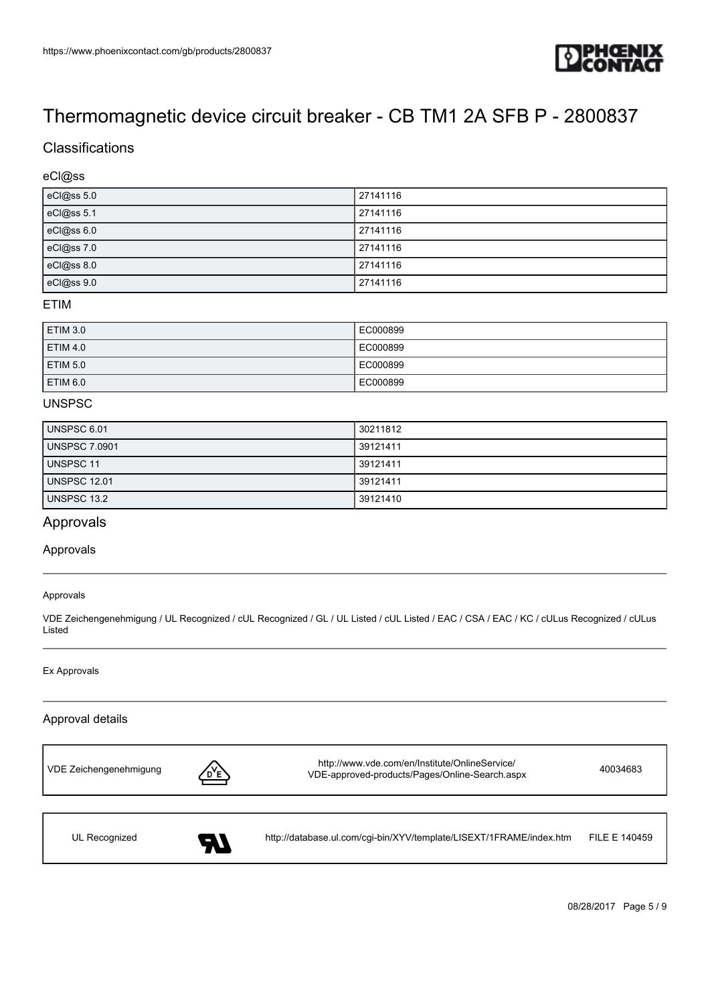

## **Classifications**

### eCl@ss

| eCl@ss 5.0 | 27141116 |
|------------|----------|
| eCl@ss 5.1 | 27141116 |
| eCl@ss 6.0 | 27141116 |
| eCl@ss 7.0 | 27141116 |
| eCl@ss 8.0 | 27141116 |
| eCl@ss 9.0 | 27141116 |

#### ETIM

| <b>ETIM 3.0</b> | EC000899 |
|-----------------|----------|
| <b>ETIM 4.0</b> | EC000899 |
| <b>ETIM 5.0</b> | EC000899 |
| ETIM 6.0        | EC000899 |

### **UNSPSC**

| UNSPSC 6.01         | 30211812 |
|---------------------|----------|
| UNSPSC 7.0901       | 39121411 |
| UNSPSC 11           | 39121411 |
| <b>UNSPSC 12.01</b> | 39121411 |
| UNSPSC 13.2         | 39121410 |

### Approvals

#### Approvals

#### Approvals

VDE Zeichengenehmigung / UL Recognized / cUL Recognized / GL / UL Listed / cUL Listed / EAC / CSA / EAC / KC / cULus Recognized / cULus Listed

#### Ex Approvals

### Approval details



08/28/2017 Page 5 / 9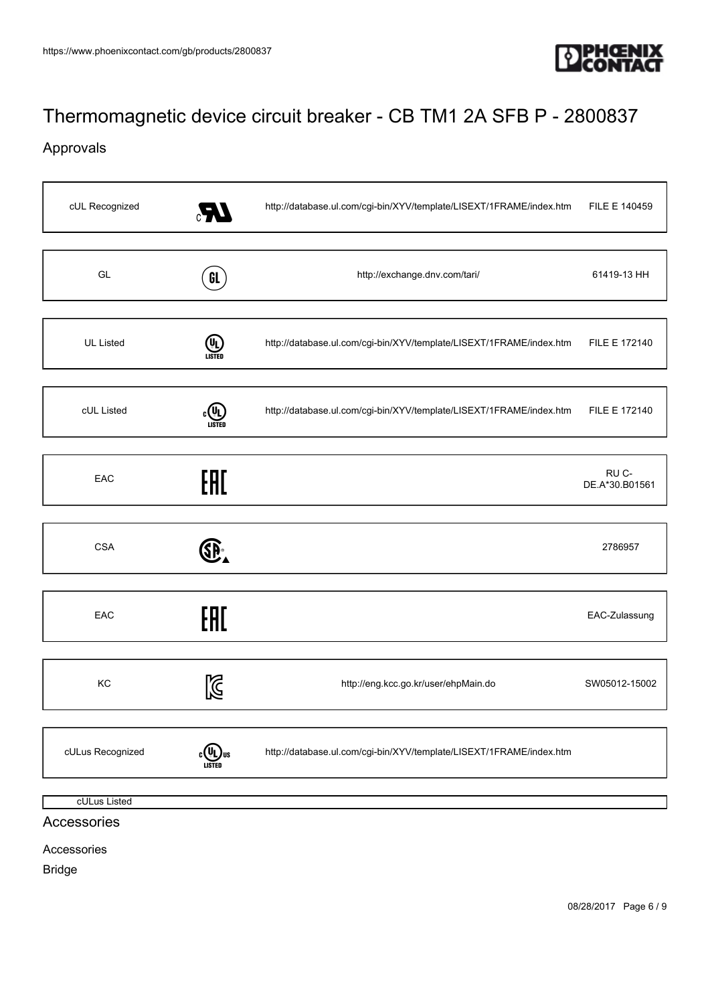

# Approvals

| cUL Recognized   | LF.           | http://database.ul.com/cgi-bin/XYV/template/LISEXT/1FRAME/index.htm | FILE E 140459           |
|------------------|---------------|---------------------------------------------------------------------|-------------------------|
| GL               | GL            | http://exchange.dnv.com/tari/                                       | 61419-13 HH             |
| <b>UL Listed</b> | (U)<br>LISTED | http://database.ul.com/cgi-bin/XYV/template/LISEXT/1FRAME/index.htm | FILE E 172140           |
| cUL Listed       | LISTED        | http://database.ul.com/cgi-bin/XYV/template/LISEXT/1FRAME/index.htm | FILE E 172140           |
| EAC              | EAL           |                                                                     | RU C-<br>DE.A*30.B01561 |
| <b>CSA</b>       | SP-           |                                                                     | 2786957                 |
| EAC              | EAC           |                                                                     | EAC-Zulassung           |
| KC               | $\boxtimes$   | http://eng.kcc.go.kr/user/ehpMain.do                                | SW05012-15002           |
| cULus Recognized |               | http://database.ul.com/cgi-bin/XYV/template/LISEXT/1FRAME/index.htm |                         |
| cULus Listed     |               |                                                                     |                         |

## Accessories

Accessories

Bridge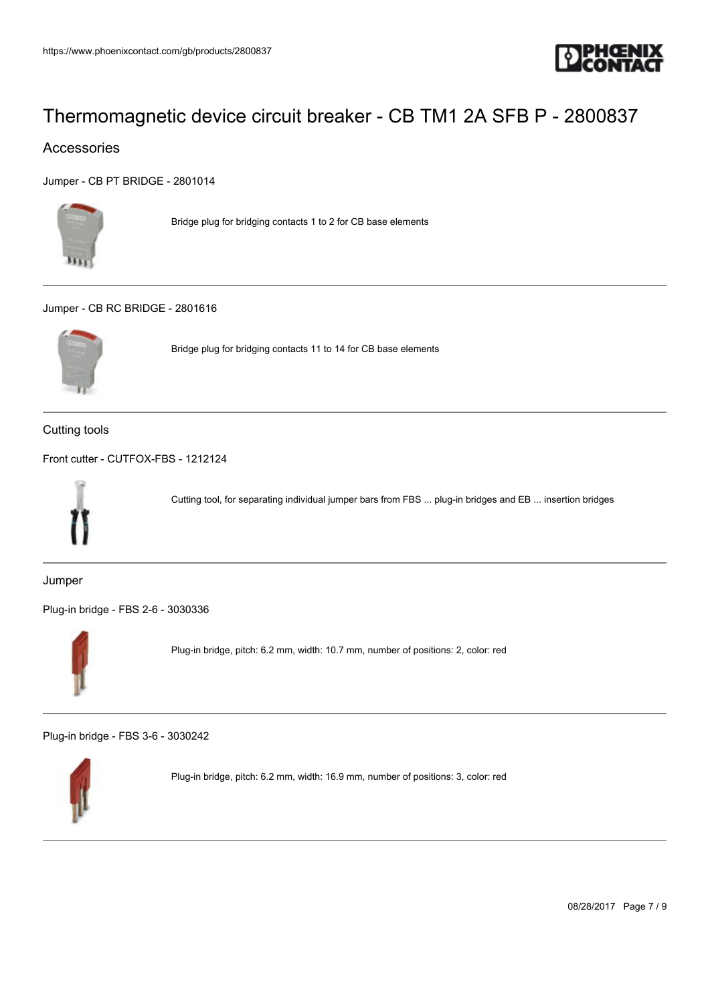

## Accessories

[Jumper - CB PT BRIDGE - 2801014](https://www.phoenixcontact.com/gb/products/2801014)



Bridge plug for bridging contacts 1 to 2 for CB base elements

#### [Jumper - CB RC BRIDGE - 2801616](https://www.phoenixcontact.com/gb/products/2801616)



Bridge plug for bridging contacts 11 to 14 for CB base elements

Cutting tools

[Front cutter - CUTFOX-FBS - 1212124](https://www.phoenixcontact.com/gb/products/1212124)



Cutting tool, for separating individual jumper bars from FBS ... plug-in bridges and EB ... insertion bridges

Jumper

[Plug-in bridge - FBS 2-6 - 3030336](https://www.phoenixcontact.com/gb/products/3030336)



Plug-in bridge, pitch: 6.2 mm, width: 10.7 mm, number of positions: 2, color: red

[Plug-in bridge - FBS 3-6 - 3030242](https://www.phoenixcontact.com/gb/products/3030242)



Plug-in bridge, pitch: 6.2 mm, width: 16.9 mm, number of positions: 3, color: red

08/28/2017 Page 7 / 9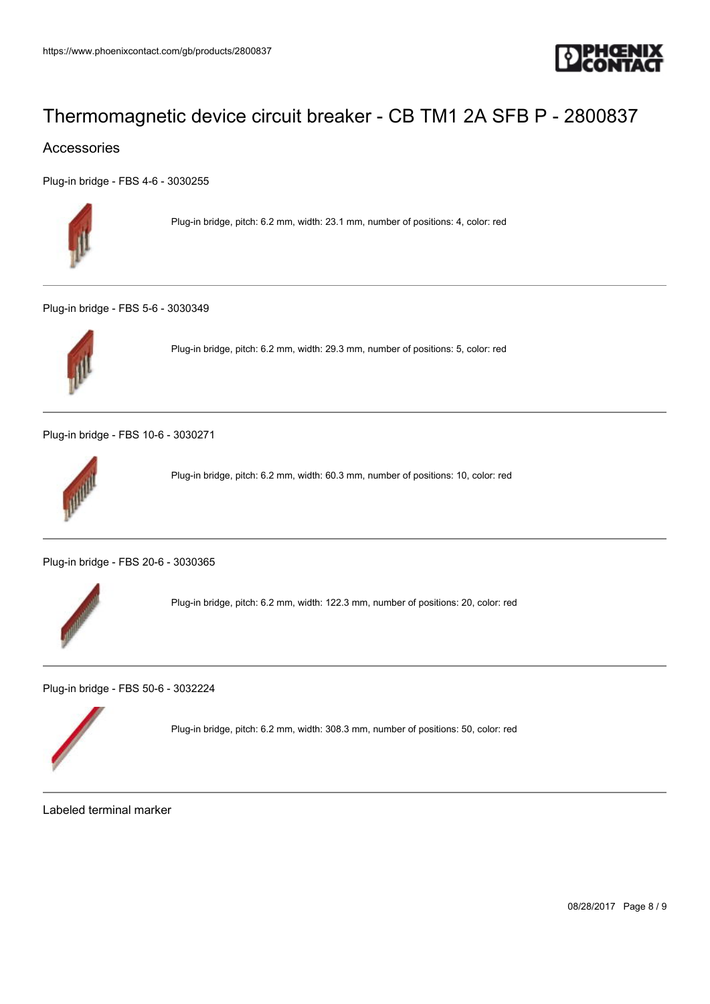

### Accessories

[Plug-in bridge - FBS 4-6 - 3030255](https://www.phoenixcontact.com/gb/products/3030255)



Plug-in bridge, pitch: 6.2 mm, width: 23.1 mm, number of positions: 4, color: red

[Plug-in bridge - FBS 5-6 - 3030349](https://www.phoenixcontact.com/gb/products/3030349)



Plug-in bridge, pitch: 6.2 mm, width: 29.3 mm, number of positions: 5, color: red

[Plug-in bridge - FBS 10-6 - 3030271](https://www.phoenixcontact.com/gb/products/3030271)



Plug-in bridge, pitch: 6.2 mm, width: 60.3 mm, number of positions: 10, color: red

[Plug-in bridge - FBS 20-6 - 3030365](https://www.phoenixcontact.com/gb/products/3030365)



Plug-in bridge, pitch: 6.2 mm, width: 122.3 mm, number of positions: 20, color: red

[Plug-in bridge - FBS 50-6 - 3032224](https://www.phoenixcontact.com/gb/products/3032224)



Plug-in bridge, pitch: 6.2 mm, width: 308.3 mm, number of positions: 50, color: red

Labeled terminal marker